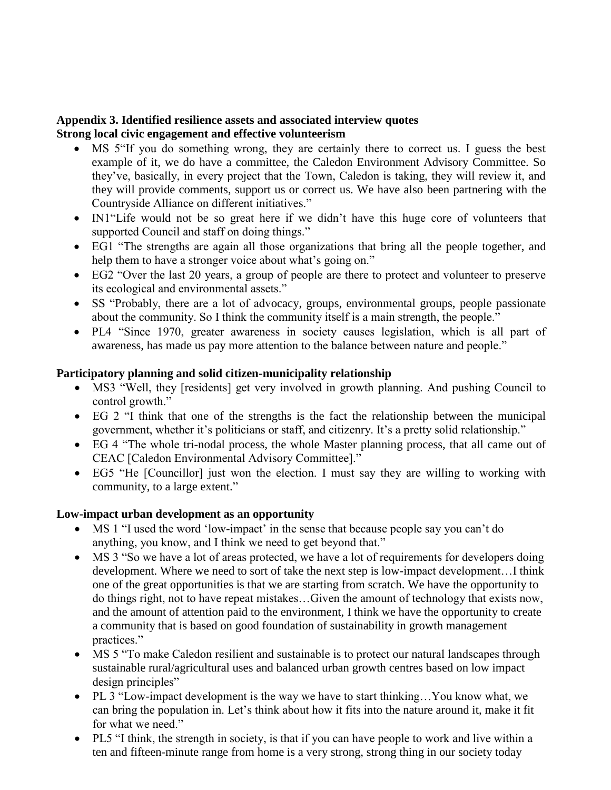# **Appendix 3. Identified resilience assets and associated interview quotes Strong local civic engagement and effective volunteerism**

- MS 5"If you do something wrong, they are certainly there to correct us. I guess the best example of it, we do have a committee, the Caledon Environment Advisory Committee. So they've, basically, in every project that the Town, Caledon is taking, they will review it, and they will provide comments, support us or correct us. We have also been partnering with the Countryside Alliance on different initiatives."
- IN1 "Life would not be so great here if we didn't have this huge core of volunteers that supported Council and staff on doing things."
- EG1 "The strengths are again all those organizations that bring all the people together, and help them to have a stronger voice about what's going on."
- EG2 "Over the last 20 years, a group of people are there to protect and volunteer to preserve its ecological and environmental assets."
- SS "Probably, there are a lot of advocacy, groups, environmental groups, people passionate about the community. So I think the community itself is a main strength, the people."
- PL4 "Since 1970, greater awareness in society causes legislation, which is all part of awareness, has made us pay more attention to the balance between nature and people."

#### **Participatory planning and solid citizen-municipality relationship**

- MS3 "Well, they [residents] get very involved in growth planning. And pushing Council to control growth."
- EG 2 "I think that one of the strengths is the fact the relationship between the municipal government, whether it's politicians or staff, and citizenry. It's a pretty solid relationship."
- EG 4 "The whole tri-nodal process, the whole Master planning process, that all came out of CEAC [Caledon Environmental Advisory Committee]."
- EG5 "He [Councillor] just won the election. I must say they are willing to working with community, to a large extent."

#### **Low-impact urban development as an opportunity**

- MS 1 "I used the word 'low-impact' in the sense that because people say you can't do anything, you know, and I think we need to get beyond that."
- MS 3 "So we have a lot of areas protected, we have a lot of requirements for developers doing development. Where we need to sort of take the next step is low-impact development…I think one of the great opportunities is that we are starting from scratch. We have the opportunity to do things right, not to have repeat mistakes…Given the amount of technology that exists now, and the amount of attention paid to the environment, I think we have the opportunity to create a community that is based on good foundation of sustainability in growth management practices."
- MS 5 "To make Caledon resilient and sustainable is to protect our natural landscapes through sustainable rural/agricultural uses and balanced urban growth centres based on low impact design principles"
- PL 3 "Low-impact development is the way we have to start thinking…You know what, we can bring the population in. Let's think about how it fits into the nature around it, make it fit for what we need."
- PL5 "I think, the strength in society, is that if you can have people to work and live within a ten and fifteen-minute range from home is a very strong, strong thing in our society today